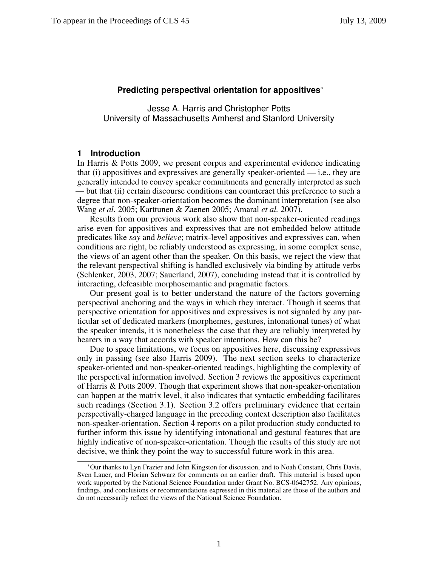### **Predicting perspectival orientation for appositives**<sup>∗</sup>

Jesse A. Harris and Christopher Potts University of Massachusetts Amherst and Stanford University

### **1 Introduction**

In [Harris & Potts 2009,](#page-13-0) we present corpus and experimental evidence indicating that (i) appositives and expressives are generally speaker-oriented — i.e., they are generally intended to convey speaker commitments and generally interpreted as such — but that (ii) certain discourse conditions can counteract this preference to such a degree that non-speaker-orientation becomes the dominant interpretation (see also [Wang](#page-14-0) *et al.* [2005;](#page-14-0) [Karttunen & Zaenen 2005;](#page-14-1) [Amaral](#page-13-1) *et al.* [2007\)](#page-13-1).

Results from our previous work also show that non-speaker-oriented readings arise even for appositives and expressives that are not embedded below attitude predicates like *say* and *believe*; matrix-level appositives and expressives can, when conditions are right, be reliably understood as expressing, in some complex sense, the views of an agent other than the speaker. On this basis, we reject the view that the relevant perspectival shifting is handled exclusively via binding by attitude verbs [\(Schlenker,](#page-14-2) [2003,](#page-14-2) [2007;](#page-14-3) [Sauerland,](#page-14-4) [2007\)](#page-14-4), concluding instead that it is controlled by interacting, defeasible morphosemantic and pragmatic factors.

Our present goal is to better understand the nature of the factors governing perspectival anchoring and the ways in which they interact. Though it seems that perspective orientation for appositives and expressives is not signaled by any particular set of dedicated markers (morphemes, gestures, intonational tunes) of what the speaker intends, it is nonetheless the case that they are reliably interpreted by hearers in a way that accords with speaker intentions. How can this be?

Due to space limitations, we focus on appositives here, discussing expressives only in passing (see also [Harris 2009\)](#page-13-2). The next section seeks to characterize speaker-oriented and non-speaker-oriented readings, highlighting the complexity of the perspectival information involved. Section [3](#page-2-0) reviews the appositives experiment of [Harris & Potts 2009.](#page-13-0) Though that experiment shows that non-speaker-orientation can happen at the matrix level, it also indicates that syntactic embedding facilitates such readings (Section [3.1\)](#page-3-0). Section [3.2](#page-4-0) offers preliminary evidence that certain perspectivally-charged language in the preceding context description also facilitates non-speaker-orientation. Section [4](#page-6-0) reports on a pilot production study conducted to further inform this issue by identifying intonational and gestural features that are highly indicative of non-speaker-orientation. Though the results of this study are not decisive, we think they point the way to successful future work in this area.

<sup>∗</sup>Our thanks to Lyn Frazier and John Kingston for discussion, and to Noah Constant, Chris Davis, Sven Lauer, and Florian Schwarz for comments on an earlier draft. This material is based upon work supported by the National Science Foundation under Grant No. BCS-0642752. Any opinions, findings, and conclusions or recommendations expressed in this material are those of the authors and do not necessarily reflect the views of the National Science Foundation.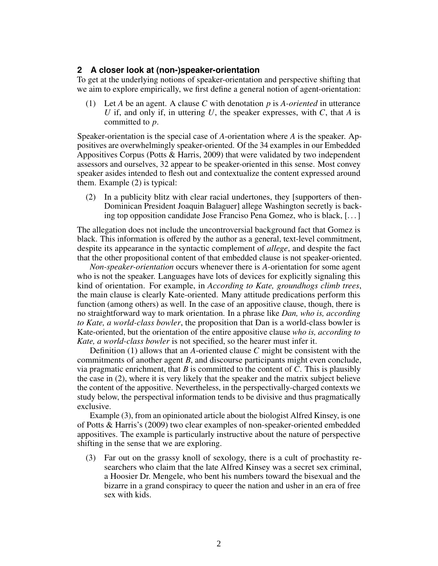## **2 A closer look at (non-)speaker-orientation**

To get at the underlying notions of speaker-orientation and perspective shifting that we aim to explore empirically, we first define a general notion of agent-orientation:

<span id="page-1-1"></span>(1) Let *A* be an agent. A clause *C* with denotation *p* is *A-oriented* in utterance *U* if, and only if, in uttering *U*, the speaker expresses, with *C*, that *A* is committed to *p*.

Speaker-orientation is the special case of *A*-orientation where *A* is the speaker. Appositives are overwhelmingly speaker-oriented. Of the 34 examples in our Embedded Appositives Corpus [\(Potts & Harris,](#page-14-5) [2009\)](#page-14-5) that were validated by two independent assessors and ourselves, 32 appear to be speaker-oriented in this sense. Most convey speaker asides intended to flesh out and contextualize the content expressed around them. Example [\(2\)](#page-1-0) is typical:

<span id="page-1-0"></span>(2) In a publicity blitz with clear racial undertones, they [supporters of then-Dominican President Joaquin Balaguer] allege Washington secretly is backing top opposition candidate Jose Franciso Pena Gomez, who is black, [. . . ]

The allegation does not include the uncontroversial background fact that Gomez is black. This information is offered by the author as a general, text-level commitment, despite its appearance in the syntactic complement of *allege*, and despite the fact that the other propositional content of that embedded clause is not speaker-oriented.

*Non-speaker-orientation* occurs whenever there is *A*-orientation for some agent who is not the speaker. Languages have lots of devices for explicitly signaling this kind of orientation. For example, in *According to Kate, groundhogs climb trees*, the main clause is clearly Kate-oriented. Many attitude predications perform this function (among others) as well. In the case of an appositive clause, though, there is no straightforward way to mark orientation. In a phrase like *Dan, who is, according to Kate, a world-class bowler*, the proposition that Dan is a world-class bowler is Kate-oriented, but the orientation of the entire appositive clause *who is, according to Kate, a world-class bowler* is not specified, so the hearer must infer it.

Definition [\(1\)](#page-1-1) allows that an *A*-oriented clause *C* might be consistent with the commitments of another agent *B*, and discourse participants might even conclude, via pragmatic enrichment, that *B* is committed to the content of *C*. This is plausibly the case in [\(2\)](#page-1-0), where it is very likely that the speaker and the matrix subject believe the content of the appositive. Nevertheless, in the perspectivally-charged contexts we study below, the perspectival information tends to be divisive and thus pragmatically exclusive.

Example [\(3\)](#page-1-2), from an opinionated article about the biologist Alfred Kinsey, is one of [Potts & Harris'](#page-14-5)s [\(2009\)](#page-14-5) two clear examples of non-speaker-oriented embedded appositives. The example is particularly instructive about the nature of perspective shifting in the sense that we are exploring.

<span id="page-1-2"></span>(3) Far out on the grassy knoll of sexology, there is a cult of prochastity researchers who claim that the late Alfred Kinsey was a secret sex criminal, a Hoosier Dr. Mengele, who bent his numbers toward the bisexual and the bizarre in a grand conspiracy to queer the nation and usher in an era of free sex with kids.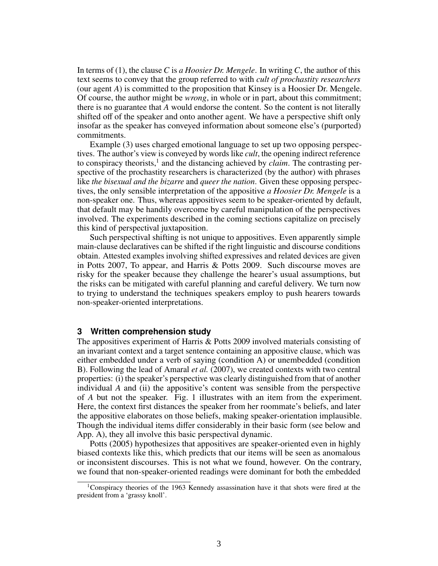In terms of [\(1\)](#page-1-1), the clause *C* is *a Hoosier Dr. Mengele*. In writing *C*, the author of this text seems to convey that the group referred to with *cult of prochastity researchers* (our agent *A*) is committed to the proposition that Kinsey is a Hoosier Dr. Mengele. Of course, the author might be *wrong*, in whole or in part, about this commitment; there is no guarantee that *A* would endorse the content. So the content is not literally shifted off of the speaker and onto another agent. We have a perspective shift only insofar as the speaker has conveyed information about someone else's (purported) commitments.

Example [\(3\)](#page-1-2) uses charged emotional language to set up two opposing perspectives. The author's view is conveyed by words like *cult*, the opening indirect reference to conspiracy theorists,<sup>[1](#page-2-1)</sup> and the distancing achieved by *claim*. The contrasting perspective of the prochastity researchers is characterized (by the author) with phrases like *the bisexual and the bizarre* and *queer the nation*. Given these opposing perspectives, the only sensible interpretation of the appositive *a Hoosier Dr. Mengele* is a non-speaker one. Thus, whereas appositives seem to be speaker-oriented by default, that default may be handily overcome by careful manipulation of the perspectives involved. The experiments described in the coming sections capitalize on precisely this kind of perspectival juxtaposition.

Such perspectival shifting is not unique to appositives. Even apparently simple main-clause declaratives can be shifted if the right linguistic and discourse conditions obtain. Attested examples involving shifted expressives and related devices are given in [Potts 2007,](#page-14-6) [To appear,](#page-14-7) and [Harris & Potts 2009.](#page-13-0) Such discourse moves are risky for the speaker because they challenge the hearer's usual assumptions, but the risks can be mitigated with careful planning and careful delivery. We turn now to trying to understand the techniques speakers employ to push hearers towards non-speaker-oriented interpretations.

### <span id="page-2-0"></span>**3 Written comprehension study**

The appositives experiment of [Harris & Potts 2009](#page-13-0) involved materials consisting of an invariant context and a target sentence containing an appositive clause, which was either embedded under a verb of saying (condition A) or unembedded (condition B). Following the lead of [Amaral](#page-13-1) *et al.* [\(2007\)](#page-13-1), we created contexts with two central properties: (i) the speaker's perspective was clearly distinguished from that of another individual *A* and (ii) the appositive's content was sensible from the perspective of *A* but not the speaker. Fig. [1](#page-3-1) illustrates with an item from the experiment. Here, the context first distances the speaker from her roommate's beliefs, and later the appositive elaborates on those beliefs, making speaker-orientation implausible. Though the individual items differ considerably in their basic form (see below and App. [A\)](#page-11-0), they all involve this basic perspectival dynamic.

[Potts](#page-14-8) [\(2005\)](#page-14-8) hypothesizes that appositives are speaker-oriented even in highly biased contexts like this, which predicts that our items will be seen as anomalous or inconsistent discourses. This is not what we found, however. On the contrary, we found that non-speaker-oriented readings were dominant for both the embedded

<span id="page-2-1"></span><sup>&</sup>lt;sup>1</sup>Conspiracy theories of the 1963 Kennedy assassination have it that shots were fired at the president from a 'grassy knoll'.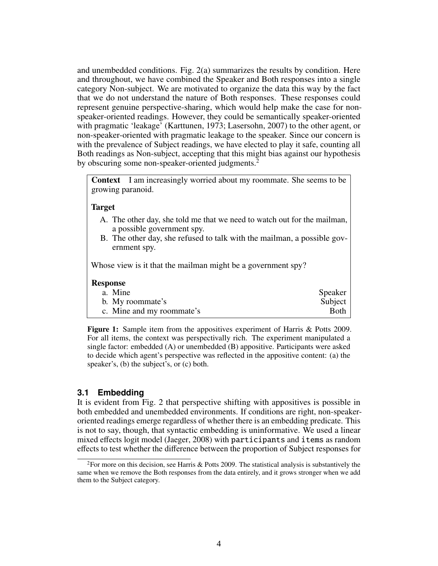and unembedded conditions. Fig. [2\(a\)](#page-4-1) summarizes the results by condition. Here and throughout, we have combined the Speaker and Both responses into a single category Non-subject. We are motivated to organize the data this way by the fact that we do not understand the nature of Both responses. These responses could represent genuine perspective-sharing, which would help make the case for nonspeaker-oriented readings. However, they could be semantically speaker-oriented with pragmatic 'leakage' [\(Karttunen,](#page-14-9) [1973;](#page-14-9) [Lasersohn,](#page-14-10) [2007\)](#page-14-10) to the other agent, or non-speaker-oriented with pragmatic leakage to the speaker. Since our concern is with the prevalence of Subject readings, we have elected to play it safe, counting all Both readings as Non-subject, accepting that this might bias against our hypothesis by obscuring some non-speaker-oriented judgments.<sup>[2](#page-3-2)</sup>

Context I am increasingly worried about my roommate. She seems to be growing paranoid.

#### Target

- A. The other day, she told me that we need to watch out for the mailman, a possible government spy.
- B. The other day, she refused to talk with the mailman, a possible government spy.

Whose view is it that the mailman might be a government spy?

#### Response

| a. Mine                   | Speaker     |
|---------------------------|-------------|
| b. My roommate's          | Subject     |
| c. Mine and my roommate's | <b>Both</b> |

<span id="page-3-1"></span>Figure 1: Sample item from the appositives experiment of [Harris & Potts 2009.](#page-13-0) For all items, the context was perspectivally rich. The experiment manipulated a single factor: embedded (A) or unembedded (B) appositive. Participants were asked to decide which agent's perspective was reflected in the appositive content: (a) the speaker's, (b) the subject's, or (c) both.

### <span id="page-3-0"></span>**3.1 Embedding**

It is evident from Fig. [2](#page-4-2) that perspective shifting with appositives is possible in both embedded and unembedded environments. If conditions are right, non-speakeroriented readings emerge regardless of whether there is an embedding predicate. This is not to say, though, that syntactic embedding is uninformative. We used a linear mixed effects logit model [\(Jaeger,](#page-13-3) [2008\)](#page-13-3) with participants and items as random effects to test whether the difference between the proportion of Subject responses for

<span id="page-3-2"></span><sup>&</sup>lt;sup>2</sup>For more on this decision, see [Harris & Potts 2009.](#page-13-0) The statistical analysis is substantively the same when we remove the Both responses from the data entirely, and it grows stronger when we add them to the Subject category.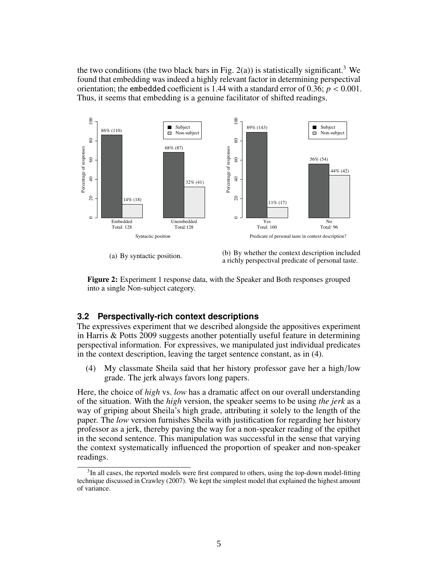the two conditions (the two black bars in Fig. [2\(a\)\)](#page-4-1) is statistically significant.<sup>[3](#page-4-3)</sup> We found that embedding was indeed a highly relevant factor in determining perspectival orientation; the embedded coefficient is  $1.44$  with a standard error of  $0.36$ ;  $p < 0.001$ . Thus, it seems that embedding is a genuine facilitator of shifted readings.

<span id="page-4-1"></span>

<span id="page-4-2"></span>(a) By syntactic position.

<span id="page-4-5"></span>



# <span id="page-4-0"></span>**3.2 Perspectivally-rich context descriptions**

The expressives experiment that we described alongside the appositives experiment in [Harris & Potts 2009](#page-13-0) suggests another potentially useful feature in determining perspectival information. For expressives, we manipulated just individual predicates in the context description, leaving the target sentence constant, as in [\(4\)](#page-4-4).

<span id="page-4-4"></span>(4) My classmate Sheila said that her history professor gave her a high/low grade. The jerk always favors long papers.

Here, the choice of *high* vs. *low* has a dramatic affect on our overall understanding of the situation. With the *high* version, the speaker seems to be using *the jerk* as a way of griping about Sheila's high grade, attributing it solely to the length of the paper. The *low* version furnishes Sheila with justification for regarding her history professor as a jerk, thereby paving the way for a non-speaker reading of the epithet in the second sentence. This manipulation was successful in the sense that varying the context systematically influenced the proportion of speaker and non-speaker readings.

<span id="page-4-3"></span> $3$ In all cases, the reported models were first compared to others, using the top-down model-fitting technique discussed in [Crawley](#page-13-4) [\(2007\)](#page-13-4). We kept the simplest model that explained the highest amount of variance.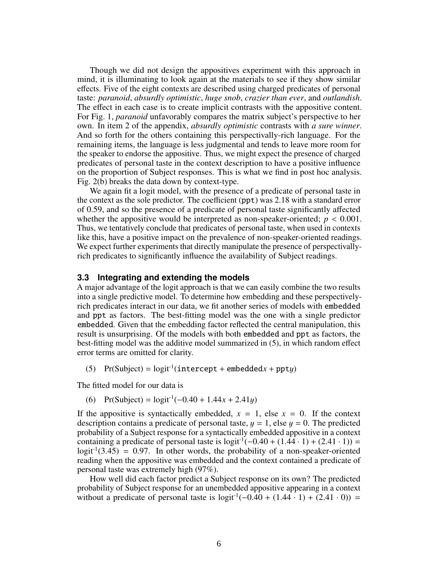Though we did not design the appositives experiment with this approach in mind, it is illuminating to look again at the materials to see if they show similar effects. Five of the eight contexts are described using charged predicates of personal taste: *paranoid*, *absurdly optimistic*, *huge snob*, *crazier than ever*, and *outlandish*. The effect in each case is to create implicit contrasts with the appositive content. For Fig. [1,](#page-3-1) *paranoid* unfavorably compares the matrix subject's perspective to her own. In item 2 of the appendix, *absurdly optimistic* contrasts with *a sure winner*. And so forth for the others containing this perspectivally-rich language. For the remaining items, the language is less judgmental and tends to leave more room for the speaker to endorse the appositive. Thus, we might expect the presence of charged predicates of personal taste in the context description to have a positive influence on the proportion of Subject responses. This is what we find in post hoc analysis. Fig. [2\(b\)](#page-4-5) breaks the data down by context-type.

We again fit a logit model, with the presence of a predicate of personal taste in the context as the sole predictor. The coefficient (ppt) was 2.18 with a standard error of 0.59, and so the presence of a predicate of personal taste significantly affected whether the appositive would be interpreted as non-speaker-oriented;  $p < 0.001$ . Thus, we tentatively conclude that predicates of personal taste, when used in contexts like this, have a positive impact on the prevalence of non-speaker-oriented readings. We expect further experiments that directly manipulate the presence of perspectivallyrich predicates to significantly influence the availability of Subject readings.

### **3.3 Integrating and extending the models**

A major advantage of the logit approach is that we can easily combine the two results into a single predictive model. To determine how embedding and these perspectivelyrich predicates interact in our data, we fit another series of models with embedded and ppt as factors. The best-fitting model was the one with a single predictor embedded. Given that the embedding factor reflected the central manipulation, this result is unsurprising. Of the models with both embedded and ppt as factors, the best-fitting model was the additive model summarized in [\(5\)](#page-5-0), in which random effect error terms are omitted for clarity.

<span id="page-5-0"></span>(5) Pr(Subject) =  $logit^{-1}(intercept + embedded x + ppty)$ 

The fitted model for our data is

(6) Pr(Subject) <sup>=</sup> logit-1(−0.<sup>40</sup> <sup>+</sup> <sup>1</sup>.44*<sup>x</sup>* <sup>+</sup> <sup>2</sup>.41y)

If the appositive is syntactically embedded,  $x = 1$ , else  $x = 0$ . If the context description contains a predicate of personal taste,  $y = 1$ , else  $y = 0$ . The predicted probability of a Subject response for a syntactically embedded appositive in a context containing a predicate of personal taste is logit<sup>-1</sup>(−0.40 + (1.44 · 1) + (2.41 · 1)) =  $logit^{-1}(3.45) = 0.97$ . In other words, the probability of a non-speaker-oriented reading when the appositive was embedded and the context contained a predicate of personal taste was extremely high (97%).

How well did each factor predict a Subject response on its own? The predicted probability of Subject response for an unembedded appositive appearing in a context without a predicate of personal taste is logit<sup>-1</sup>(−0.40 + (1.44 · 1) + (2.41 · 0)) =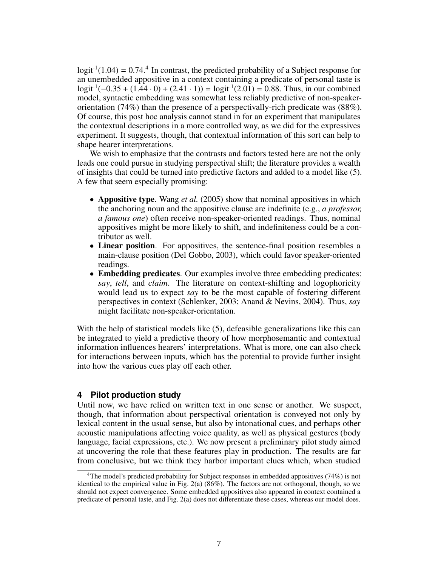$logit^{-1}(1.04) = 0.74$  $logit^{-1}(1.04) = 0.74$  $logit^{-1}(1.04) = 0.74$ .<sup>4</sup> In contrast, the predicted probability of a Subject response for a unembedded appositive in a context containing a predicate of personal taste is an unembedded appositive in a context containing a predicate of personal taste is  $logit^{-1}(-0.35 + (1.44 \cdot 0) + (2.41 \cdot 1)) = logit^{-1}(2.01) = 0.88$ . Thus, in our combined model, syntactic embedding was somewhat less reliably predictive of non-speakerorientation (74%) than the presence of a perspectivally-rich predicate was (88%). Of course, this post hoc analysis cannot stand in for an experiment that manipulates the contextual descriptions in a more controlled way, as we did for the expressives experiment. It suggests, though, that contextual information of this sort can help to shape hearer interpretations.

We wish to emphasize that the contrasts and factors tested here are not the only leads one could pursue in studying perspectival shift; the literature provides a wealth of insights that could be turned into predictive factors and added to a model like [\(5\)](#page-5-0). A few that seem especially promising:

- **Appositive type**. [Wang](#page-14-0) *et al.* [\(2005\)](#page-14-0) show that nominal appositives in which the anchoring noun and the appositive clause are indefinite (e.g., *a professor, a famous one*) often receive non-speaker-oriented readings. Thus, nominal appositives might be more likely to shift, and indefiniteness could be a contributor as well.
- Linear position. For appositives, the sentence-final position resembles a main-clause position [\(Del Gobbo,](#page-13-5) [2003\)](#page-13-5), which could favor speaker-oriented readings.
- Embedding predicates. Our examples involve three embedding predicates: *say*, *tell*, and *claim*. The literature on context-shifting and logophoricity would lead us to expect *say* to be the most capable of fostering different perspectives in context [\(Schlenker,](#page-14-2) [2003;](#page-14-2) [Anand & Nevins,](#page-13-6) [2004\)](#page-13-6). Thus, *say* might facilitate non-speaker-orientation.

With the help of statistical models like  $(5)$ , defeasible generalizations like this can be integrated to yield a predictive theory of how morphosemantic and contextual information influences hearers' interpretations. What is more, one can also check for interactions between inputs, which has the potential to provide further insight into how the various cues play off each other.

### <span id="page-6-0"></span>**4 Pilot production study**

Until now, we have relied on written text in one sense or another. We suspect, though, that information about perspectival orientation is conveyed not only by lexical content in the usual sense, but also by intonational cues, and perhaps other acoustic manipulations affecting voice quality, as well as physical gestures (body language, facial expressions, etc.). We now present a preliminary pilot study aimed at uncovering the role that these features play in production. The results are far from conclusive, but we think they harbor important clues which, when studied

<span id="page-6-1"></span><sup>4</sup>The model's predicted probability for Subject responses in embedded appositives (74%) is not identical to the empirical value in Fig.  $2(a)$  (86%). The factors are not orthogonal, though, so we should not expect convergence. Some embedded appositives also appeared in context contained a predicate of personal taste, and Fig. [2\(a\)](#page-4-1) does not differentiate these cases, whereas our model does.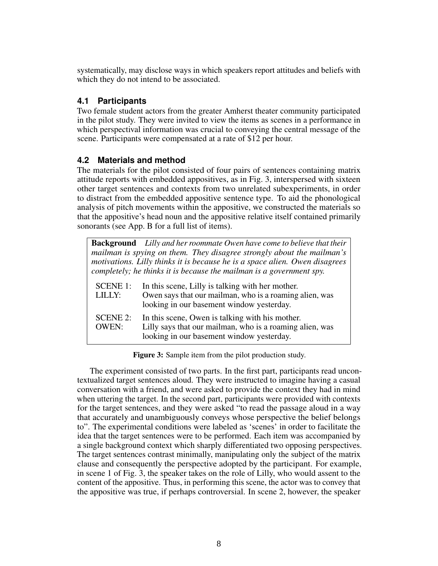systematically, may disclose ways in which speakers report attitudes and beliefs with which they do not intend to be associated.

# **4.1 Participants**

Two female student actors from the greater Amherst theater community participated in the pilot study. They were invited to view the items as scenes in a performance in which perspectival information was crucial to conveying the central message of the scene. Participants were compensated at a rate of \$12 per hour.

# **4.2 Materials and method**

The materials for the pilot consisted of four pairs of sentences containing matrix attitude reports with embedded appositives, as in Fig. [3,](#page-7-0) interspersed with sixteen other target sentences and contexts from two unrelated subexperiments, in order to distract from the embedded appositive sentence type. To aid the phonological analysis of pitch movements within the appositive, we constructed the materials so that the appositive's head noun and the appositive relative itself contained primarily sonorants (see App. [B](#page-12-0) for a full list of items).

|                                 | <b>Background</b> Lilly and her roommate Owen have come to believe that their<br>mailman is spying on them. They disagree strongly about the mailman's<br>motivations. Lilly thinks it is because he is a space alien. Owen disagrees<br>completely; he thinks it is because the mailman is a government spy. |
|---------------------------------|---------------------------------------------------------------------------------------------------------------------------------------------------------------------------------------------------------------------------------------------------------------------------------------------------------------|
| <b>SCENE 1:</b><br>LILLY:       | In this scene, Lilly is talking with her mother.<br>Owen says that our mailman, who is a roaming alien, was<br>looking in our basement window yesterday.                                                                                                                                                      |
| <b>SCENE 2:</b><br><b>OWEN:</b> | In this scene, Owen is talking with his mother.<br>Lilly says that our mailman, who is a roaming alien, was<br>looking in our basement window yesterday.                                                                                                                                                      |

<span id="page-7-0"></span>Figure 3: Sample item from the pilot production study.

The experiment consisted of two parts. In the first part, participants read uncontextualized target sentences aloud. They were instructed to imagine having a casual conversation with a friend, and were asked to provide the context they had in mind when uttering the target. In the second part, participants were provided with contexts for the target sentences, and they were asked "to read the passage aloud in a way that accurately and unambiguously conveys whose perspective the belief belongs to". The experimental conditions were labeled as 'scenes' in order to facilitate the idea that the target sentences were to be performed. Each item was accompanied by a single background context which sharply differentiated two opposing perspectives. The target sentences contrast minimally, manipulating only the subject of the matrix clause and consequently the perspective adopted by the participant. For example, in scene 1 of Fig. [3,](#page-7-0) the speaker takes on the role of Lilly, who would assent to the content of the appositive. Thus, in performing this scene, the actor was to convey that the appositive was true, if perhaps controversial. In scene 2, however, the speaker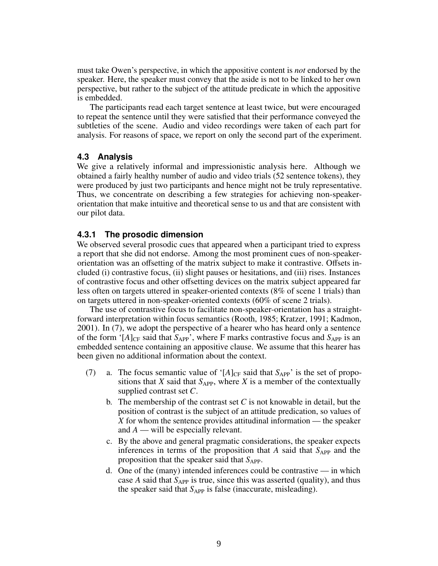must take Owen's perspective, in which the appositive content is *not* endorsed by the speaker. Here, the speaker must convey that the aside is not to be linked to her own perspective, but rather to the subject of the attitude predicate in which the appositive is embedded.

The participants read each target sentence at least twice, but were encouraged to repeat the sentence until they were satisfied that their performance conveyed the subtleties of the scene. Audio and video recordings were taken of each part for analysis. For reasons of space, we report on only the second part of the experiment.

## **4.3 Analysis**

We give a relatively informal and impressionistic analysis here. Although we obtained a fairly healthy number of audio and video trials (52 sentence tokens), they were produced by just two participants and hence might not be truly representative. Thus, we concentrate on describing a few strategies for achieving non-speakerorientation that make intuitive and theoretical sense to us and that are consistent with our pilot data.

## **4.3.1 The prosodic dimension**

We observed several prosodic cues that appeared when a participant tried to express a report that she did not endorse. Among the most prominent cues of non-speakerorientation was an offsetting of the matrix subject to make it contrastive. Offsets included (i) contrastive focus, (ii) slight pauses or hesitations, and (iii) rises. Instances of contrastive focus and other offsetting devices on the matrix subject appeared far less often on targets uttered in speaker-oriented contexts (8% of scene 1 trials) than on targets uttered in non-speaker-oriented contexts (60% of scene 2 trials).

The use of contrastive focus to facilitate non-speaker-orientation has a straightforward interpretation within focus semantics [\(Rooth,](#page-14-11) [1985;](#page-14-11) [Kratzer,](#page-14-12) [1991;](#page-14-12) [Kadmon,](#page-13-7) [2001\)](#page-13-7). In [\(7\)](#page-8-0), we adopt the perspective of a hearer who has heard only a sentence of the form ' $[A]_{CF}$  said that  $S_{APP}$ ', where F marks contrastive focus and  $S_{APP}$  is an embedded sentence containing an appositive clause. We assume that this hearer has been given no additional information about the context.

- <span id="page-8-0"></span>(7) a. The focus semantic value of ' $[A]_{CF}$  said that  $S_{APP}$ ' is the set of propositions that *X* said that  $S_{APP}$ , where *X* is a member of the contextually supplied contrast set *C*.
	- b. The membership of the contrast set *C* is not knowable in detail, but the position of contrast is the subject of an attitude predication, so values of *X* for whom the sentence provides attitudinal information — the speaker and *A* — will be especially relevant.
	- c. By the above and general pragmatic considerations, the speaker expects inferences in terms of the proposition that  $A$  said that  $S_{APP}$  and the proposition that the speaker said that  $S_{APP}$ .
	- d. One of the (many) intended inferences could be contrastive in which case  $A$  said that  $S_{APP}$  is true, since this was asserted (quality), and thus the speaker said that  $S_{APP}$  is false (inaccurate, misleading).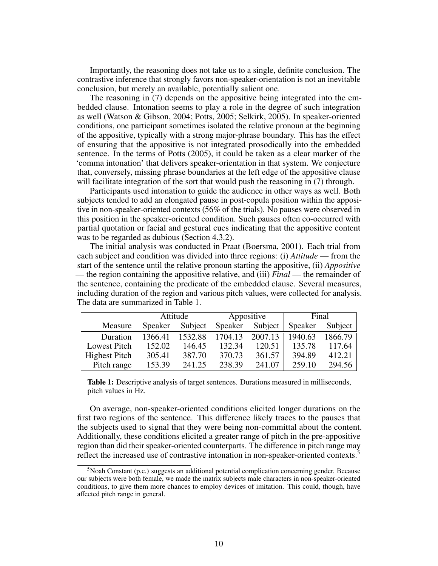Importantly, the reasoning does not take us to a single, definite conclusion. The contrastive inference that strongly favors non-speaker-orientation is not an inevitable conclusion, but merely an available, potentially salient one.

The reasoning in [\(7\)](#page-8-0) depends on the appositive being integrated into the embedded clause. Intonation seems to play a role in the degree of such integration as well [\(Watson & Gibson,](#page-14-13) [2004;](#page-14-13) [Potts,](#page-14-8) [2005;](#page-14-8) [Selkirk,](#page-14-14) [2005\)](#page-14-14). In speaker-oriented conditions, one participant sometimes isolated the relative pronoun at the beginning of the appositive, typically with a strong major-phrase boundary. This has the effect of ensuring that the appositive is not integrated prosodically into the embedded sentence. In the terms of [Potts](#page-14-8) [\(2005\)](#page-14-8), it could be taken as a clear marker of the 'comma intonation' that delivers speaker-orientation in that system. We conjecture that, conversely, missing phrase boundaries at the left edge of the appositive clause will facilitate integration of the sort that would push the reasoning in [\(7\)](#page-8-0) through.

Participants used intonation to guide the audience in other ways as well. Both subjects tended to add an elongated pause in post-copula position within the appositive in non-speaker-oriented contexts (56% of the trials). No pauses were observed in this position in the speaker-oriented condition. Such pauses often co-occurred with partial quotation or facial and gestural cues indicating that the appositive content was to be regarded as dubious (Section [4.3.2\)](#page-10-0).

The initial analysis was conducted in Praat [\(Boersma,](#page-13-8) [2001\)](#page-13-8). Each trial from each subject and condition was divided into three regions: (i) *Attitude* — from the start of the sentence until the relative pronoun starting the appositive, (ii) *Appositive* — the region containing the appositive relative, and (iii) *Final* — the remainder of the sentence, containing the predicate of the embedded clause. Several measures, including duration of the region and various pitch values, were collected for analysis. The data are summarized in Table [1.](#page-9-0)

|               | Attitude |         | Appositive |         | Final   |         |
|---------------|----------|---------|------------|---------|---------|---------|
| Measure       | Speaker  | Subject | Speaker    | Subject | Speaker | Subject |
| Duration      | 1366.41  | 1532.88 | 1704.13    | 2007.13 | 1940.63 | 1866.79 |
| Lowest Pitch  | 152.02   | 146.45  | 132.34     | 120.51  | 135.78  | 117.64  |
| Highest Pitch | 305.41   | 387.70  | 370.73     | 361.57  | 394.89  | 412.21  |
| Pitch range   | 153.39   | 241.25  | 238.39     | 241.07  | 259.10  | 294.56  |

<span id="page-9-0"></span>Table 1: Descriptive analysis of target sentences. Durations measured in milliseconds, pitch values in Hz.

On average, non-speaker-oriented conditions elicited longer durations on the first two regions of the sentence. This difference likely traces to the pauses that the subjects used to signal that they were being non-committal about the content. Additionally, these conditions elicited a greater range of pitch in the pre-appositive region than did their speaker-oriented counterparts. The difference in pitch range may reflect the increased use of contrastive intonation in non-speaker-oriented contexts.<sup>[5](#page-9-1)</sup>

<span id="page-9-1"></span><sup>&</sup>lt;sup>5</sup>Noah Constant (p.c.) suggests an additional potential complication concerning gender. Because our subjects were both female, we made the matrix subjects male characters in non-speaker-oriented conditions, to give them more chances to employ devices of imitation. This could, though, have affected pitch range in general.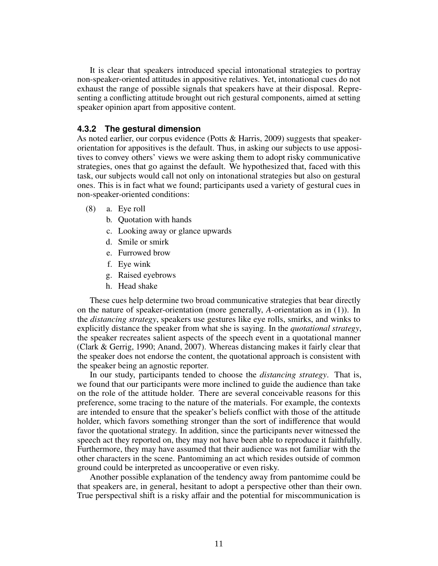It is clear that speakers introduced special intonational strategies to portray non-speaker-oriented attitudes in appositive relatives. Yet, intonational cues do not exhaust the range of possible signals that speakers have at their disposal. Representing a conflicting attitude brought out rich gestural components, aimed at setting speaker opinion apart from appositive content.

## <span id="page-10-0"></span>**4.3.2 The gestural dimension**

As noted earlier, our corpus evidence [\(Potts & Harris,](#page-14-5) [2009\)](#page-14-5) suggests that speakerorientation for appositives is the default. Thus, in asking our subjects to use appositives to convey others' views we were asking them to adopt risky communicative strategies, ones that go against the default. We hypothesized that, faced with this task, our subjects would call not only on intonational strategies but also on gestural ones. This is in fact what we found; participants used a variety of gestural cues in non-speaker-oriented conditions:

- (8) a. Eye roll
	- b. Quotation with hands
	- c. Looking away or glance upwards
	- d. Smile or smirk
	- e. Furrowed brow
	- f. Eye wink
	- g. Raised eyebrows
	- h. Head shake

These cues help determine two broad communicative strategies that bear directly on the nature of speaker-orientation (more generally, *A*-orientation as in [\(1\)](#page-1-1)). In the *distancing strategy*, speakers use gestures like eye rolls, smirks, and winks to explicitly distance the speaker from what she is saying. In the *quotational strategy*, the speaker recreates salient aspects of the speech event in a quotational manner [\(Clark & Gerrig,](#page-13-9) [1990;](#page-13-9) [Anand,](#page-13-10) [2007\)](#page-13-10). Whereas distancing makes it fairly clear that the speaker does not endorse the content, the quotational approach is consistent with the speaker being an agnostic reporter.

In our study, participants tended to choose the *distancing strategy*. That is, we found that our participants were more inclined to guide the audience than take on the role of the attitude holder. There are several conceivable reasons for this preference, some tracing to the nature of the materials. For example, the contexts are intended to ensure that the speaker's beliefs conflict with those of the attitude holder, which favors something stronger than the sort of indifference that would favor the quotational strategy. In addition, since the participants never witnessed the speech act they reported on, they may not have been able to reproduce it faithfully. Furthermore, they may have assumed that their audience was not familiar with the other characters in the scene. Pantomiming an act which resides outside of common ground could be interpreted as uncooperative or even risky.

Another possible explanation of the tendency away from pantomime could be that speakers are, in general, hesitant to adopt a perspective other than their own. True perspectival shift is a risky affair and the potential for miscommunication is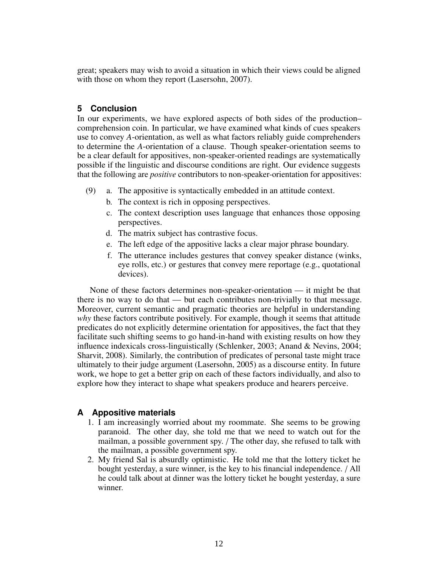great; speakers may wish to avoid a situation in which their views could be aligned with those on whom they report [\(Lasersohn,](#page-14-10) [2007\)](#page-14-10).

### **5 Conclusion**

In our experiments, we have explored aspects of both sides of the production– comprehension coin. In particular, we have examined what kinds of cues speakers use to convey *A*-orientation, as well as what factors reliably guide comprehenders to determine the *A*-orientation of a clause. Though speaker-orientation seems to be a clear default for appositives, non-speaker-oriented readings are systematically possible if the linguistic and discourse conditions are right. Our evidence suggests that the following are *positive* contributors to non-speaker-orientation for appositives:

- (9) a. The appositive is syntactically embedded in an attitude context.
	- b. The context is rich in opposing perspectives.
	- c. The context description uses language that enhances those opposing perspectives.
	- d. The matrix subject has contrastive focus.
	- e. The left edge of the appositive lacks a clear major phrase boundary.
	- f. The utterance includes gestures that convey speaker distance (winks, eye rolls, etc.) or gestures that convey mere reportage (e.g., quotational devices).

None of these factors determines non-speaker-orientation — it might be that there is no way to do that — but each contributes non-trivially to that message. Moreover, current semantic and pragmatic theories are helpful in understanding *why* these factors contribute positively. For example, though it seems that attitude predicates do not explicitly determine orientation for appositives, the fact that they facilitate such shifting seems to go hand-in-hand with existing results on how they influence indexicals cross-linguistically [\(Schlenker,](#page-14-2) [2003;](#page-14-2) [Anand & Nevins,](#page-13-6) [2004;](#page-13-6) [Sharvit,](#page-14-15) [2008\)](#page-14-15). Similarly, the contribution of predicates of personal taste might trace ultimately to their judge argument [\(Lasersohn,](#page-14-16) [2005\)](#page-14-16) as a discourse entity. In future work, we hope to get a better grip on each of these factors individually, and also to explore how they interact to shape what speakers produce and hearers perceive.

# <span id="page-11-0"></span>**A Appositive materials**

- 1. I am increasingly worried about my roommate. She seems to be growing paranoid. The other day, she told me that we need to watch out for the mailman, a possible government spy. / The other day, she refused to talk with the mailman, a possible government spy.
- 2. My friend Sal is absurdly optimistic. He told me that the lottery ticket he bought yesterday, a sure winner, is the key to his financial independence. / All he could talk about at dinner was the lottery ticket he bought yesterday, a sure winner.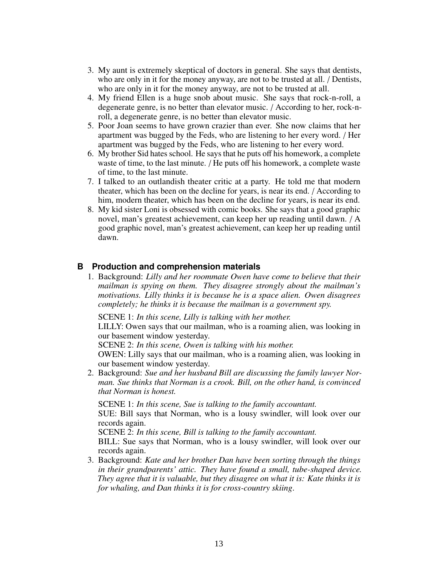- 3. My aunt is extremely skeptical of doctors in general. She says that dentists, who are only in it for the money anyway, are not to be trusted at all. */ Dentists*, who are only in it for the money anyway, are not to be trusted at all.
- 4. My friend Ellen is a huge snob about music. She says that rock-n-roll, a degenerate genre, is no better than elevator music. / According to her, rock-nroll, a degenerate genre, is no better than elevator music.
- 5. Poor Joan seems to have grown crazier than ever. She now claims that her apartment was bugged by the Feds, who are listening to her every word. / Her apartment was bugged by the Feds, who are listening to her every word.
- 6. My brother Sid hates school. He says that he puts off his homework, a complete waste of time, to the last minute. / He puts off his homework, a complete waste of time, to the last minute.
- 7. I talked to an outlandish theater critic at a party. He told me that modern theater, which has been on the decline for years, is near its end. / According to him, modern theater, which has been on the decline for years, is near its end.
- 8. My kid sister Loni is obsessed with comic books. She says that a good graphic novel, man's greatest achievement, can keep her up reading until dawn. / A good graphic novel, man's greatest achievement, can keep her up reading until dawn.

# <span id="page-12-0"></span>**B Production and comprehension materials**

1. Background: *Lilly and her roommate Owen have come to believe that their mailman is spying on them. They disagree strongly about the mailman's motivations. Lilly thinks it is because he is a space alien. Owen disagrees completely; he thinks it is because the mailman is a government spy.*

SCENE 1: *In this scene, Lilly is talking with her mother.*

LILLY: Owen says that our mailman, who is a roaming alien, was looking in our basement window yesterday.

SCENE 2: *In this scene, Owen is talking with his mother.*

OWEN: Lilly says that our mailman, who is a roaming alien, was looking in our basement window yesterday.

2. Background: *Sue and her husband Bill are discussing the family lawyer Norman. Sue thinks that Norman is a crook. Bill, on the other hand, is convinced that Norman is honest.*

SCENE 1: *In this scene, Sue is talking to the family accountant.*

SUE: Bill says that Norman, who is a lousy swindler, will look over our records again.

SCENE 2: *In this scene, Bill is talking to the family accountant.*

BILL: Sue says that Norman, who is a lousy swindler, will look over our records again.

3. Background: *Kate and her brother Dan have been sorting through the things in their grandparents' attic. They have found a small, tube-shaped device. They agree that it is valuable, but they disagree on what it is: Kate thinks it is for whaling, and Dan thinks it is for cross-country skiing*.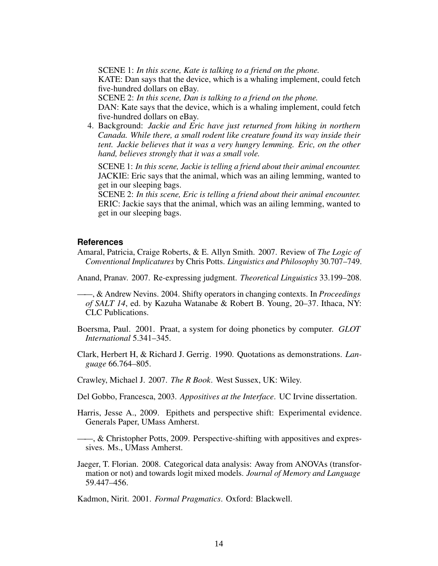SCENE 1: *In this scene, Kate is talking to a friend on the phone.*

KATE: Dan says that the device, which is a whaling implement, could fetch five-hundred dollars on eBay.

SCENE 2: *In this scene, Dan is talking to a friend on the phone.*

DAN: Kate says that the device, which is a whaling implement, could fetch five-hundred dollars on eBay.

4. Background: *Jackie and Eric have just returned from hiking in northern Canada. While there, a small rodent like creature found its way inside their tent. Jackie believes that it was a very hungry lemming. Eric, on the other hand, believes strongly that it was a small vole.*

SCENE 1: *In this scene, Jackie is telling a friend about their animal encounter.* JACKIE: Eric says that the animal, which was an ailing lemming, wanted to get in our sleeping bags.

SCENE 2: *In this scene, Eric is telling a friend about their animal encounter.* ERIC: Jackie says that the animal, which was an ailing lemming, wanted to get in our sleeping bags.

### **References**

<span id="page-13-1"></span>Amaral, Patricia, Craige Roberts, & E. Allyn Smith. 2007. Review of *The Logic of Conventional Implicatures* by Chris Potts. *Linguistics and Philosophy* 30.707–749.

<span id="page-13-10"></span>Anand, Pranav. 2007. Re-expressing judgment. *Theoretical Linguistics* 33.199–208.

<span id="page-13-6"></span>——, & Andrew Nevins. 2004. Shifty operators in changing contexts. In *Proceedings of SALT 14*, ed. by Kazuha Watanabe & Robert B. Young, 20–37. Ithaca, NY: CLC Publications.

- <span id="page-13-8"></span>Boersma, Paul. 2001. Praat, a system for doing phonetics by computer. *GLOT International* 5.341–345.
- <span id="page-13-9"></span>Clark, Herbert H, & Richard J. Gerrig. 1990. Quotations as demonstrations. *Language* 66.764–805.
- <span id="page-13-4"></span>Crawley, Michael J. 2007. *The R Book*. West Sussex, UK: Wiley.
- <span id="page-13-5"></span>Del Gobbo, Francesca, 2003. *Appositives at the Interface*. UC Irvine dissertation.
- <span id="page-13-2"></span>Harris, Jesse A., 2009. Epithets and perspective shift: Experimental evidence. Generals Paper, UMass Amherst.

<span id="page-13-0"></span>——, & Christopher Potts, 2009. Perspective-shifting with appositives and expressives. Ms., UMass Amherst.

<span id="page-13-3"></span>Jaeger, T. Florian. 2008. Categorical data analysis: Away from ANOVAs (transformation or not) and towards logit mixed models. *Journal of Memory and Language* 59.447–456.

<span id="page-13-7"></span>Kadmon, Nirit. 2001. *Formal Pragmatics*. Oxford: Blackwell.